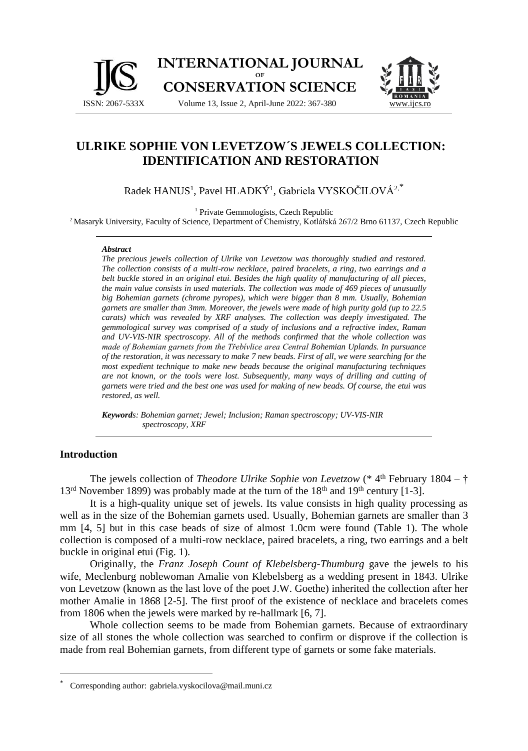

# **ULRIKE SOPHIE VON LEVETZOW´S JEWELS COLLECTION: IDENTIFICATION AND RESTORATION**

Radek HANUS<sup>1</sup>, Pavel HLADKÝ<sup>1</sup>, Gabriela VYSKOČILOVÁ<sup>2,\*</sup>

<sup>1</sup> Private Gemmologists, Czech Republic

<sup>2</sup> Masaryk University, Faculty of Science, Department of Chemistry, Kotlářská 267/2 Brno 61137, Czech Republic

#### *Abstract*

*The precious jewels collection of Ulrike von Levetzow was thoroughly studied and restored. The collection consists of a multi-row necklace, paired bracelets, a ring, two earrings and a belt buckle stored in an original etui. Besides the high quality of manufacturing of all pieces, the main value consists in used materials. The collection was made of 469 pieces of unusually big Bohemian garnets (chrome pyropes), which were bigger than 8 mm. Usually, Bohemian garnets are smaller than 3mm. Moreover, the jewels were made of high purity gold (up to 22.5 carats) which was revealed by XRF analyses. The collection was deeply investigated. The gemmological survey was comprised of a study of inclusions and a refractive index, Raman and UV-VIS-NIR spectroscopy. All of the methods confirmed that the whole collection was made of Bohemian garnets from the Třebívlice area Central Bohemian Uplands. In pursuance of the restoration, it was necessary to make 7 new beads. First of all, we were searching for the most expedient technique to make new beads because the original manufacturing techniques are not known, or the tools were lost. Subsequently, many ways of drilling and cutting of garnets were tried and the best one was used for making of new beads. Of course, the etui was restored, as well.*

*Keywords: Bohemian garnet; Jewel; Inclusion; Raman spectroscopy; UV-VIS-NIR spectroscopy, XRF*

#### **Introduction**

The jewels collection of *Theodore Ulrike Sophie von Levetzow* (\* 4<sup>th</sup> February 1804 – †  $13<sup>rd</sup>$  November 1899) was probably made at the turn of the  $18<sup>th</sup>$  and  $19<sup>th</sup>$  century [1-3].

It is a high-quality unique set of jewels. Its value consists in high quality processing as well as in the size of the Bohemian garnets used. Usually, Bohemian garnets are smaller than 3 mm [4, 5] but in this case beads of size of almost 1.0cm were found (Table 1). The whole collection is composed of a multi-row necklace, paired bracelets, a ring, two earrings and a belt buckle in original etui (Fig. 1).

Originally, the *Franz Joseph Count of Klebelsberg-Thumburg* gave the jewels to his wife, Meclenburg noblewoman Amalie von Klebelsberg as a wedding present in 1843. Ulrike von Levetzow (known as the last love of the poet J.W. Goethe) inherited the collection after her mother Amalie in 1868 [2-5]. The first proof of the existence of necklace and bracelets comes from 1806 when the jewels were marked by re-hallmark [6, 7].

Whole collection seems to be made from Bohemian garnets. Because of extraordinary size of all stones the whole collection was searched to confirm or disprove if the collection is made from real Bohemian garnets, from different type of garnets or some fake materials.

<sup>\*</sup> Corresponding author: gabriela.vyskocilova@mail.muni.cz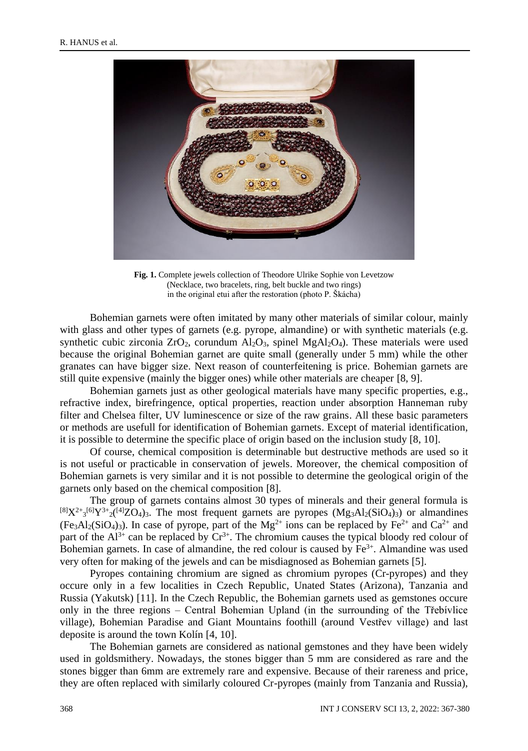

**Fig. 1.** Complete jewels collection of Theodore Ulrike Sophie von Levetzow (Necklace, two bracelets, ring, belt buckle and two rings) in the original etui after the restoration (photo P. Škácha)

Bohemian garnets were often imitated by many other materials of similar colour, mainly with glass and other types of garnets (e.g. pyrope, almandine) or with synthetic materials (e.g. synthetic cubic zirconia  $ZrO_2$ , corundum  $Al_2O_3$ , spinel  $MgAl_2O_4$ ). These materials were used because the original Bohemian garnet are quite small (generally under 5 mm) while the other granates can have bigger size. Next reason of counterfeitening is price. Bohemian garnets are still quite expensive (mainly the bigger ones) while other materials are cheaper [8, 9].

Bohemian garnets just as other geological materials have many specific properties, e.g., refractive index, birefringence, optical properties, reaction under absorption Hanneman ruby filter and Chelsea filter, UV luminescence or size of the raw grains. All these basic parameters or methods are usefull for identification of Bohemian garnets. Except of material identification, it is possible to determine the specific place of origin based on the inclusion study [8, 10].

Of course, chemical composition is determinable but destructive methods are used so it is not useful or practicable in conservation of jewels. Moreover, the chemical composition of Bohemian garnets is very similar and it is not possible to determine the geological origin of the garnets only based on the chemical composition [8].

The group of garnets contains almost 30 types of minerals and their general formula is  ${}^{[8]}X^{2+}{}_{3}{}^{[6]}Y^{3+}{}_{2}({}^{[4]}ZO_4)$  The most frequent garnets are pyropes  $(Mg_3Al_2(SiO_4)_3)$  or almandines  $(F \cdot B \cdot A)_{2}(SiO_{4})_{3}$ ). In case of pyrope, part of the Mg<sup>2+</sup> ions can be replaced by Fe<sup>2+</sup> and Ca<sup>2+</sup> and part of the  $Al^{3+}$  can be replaced by  $Cr^{3+}$ . The chromium causes the typical bloody red colour of Bohemian garnets. In case of almandine, the red colour is caused by  $Fe<sup>3+</sup>$ . Almandine was used very often for making of the jewels and can be misdiagnosed as Bohemian garnets [5].

Pyropes containing chromium are signed as chromium pyropes (Cr-pyropes) and they occure only in a few localities in Czech Republic, Unated States (Arizona), Tanzania and Russia (Yakutsk) [11]. In the Czech Republic, the Bohemian garnets used as gemstones occure only in the three regions – Central Bohemian Upland (in the surrounding of the Třebívlice village), Bohemian Paradise and Giant Mountains foothill (around Vestřev village) and last deposite is around the town Kolín [4, 10].

The Bohemian garnets are considered as national gemstones and they have been widely used in goldsmithery. Nowadays, the stones bigger than 5 mm are considered as rare and the stones bigger than 6mm are extremely rare and expensive. Because of their rareness and price, they are often replaced with similarly coloured Cr-pyropes (mainly from Tanzania and Russia),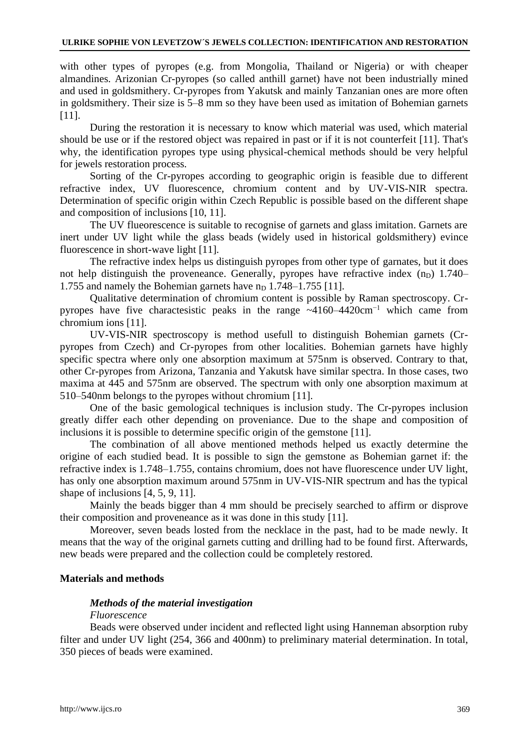with other types of pyropes (e.g. from Mongolia, Thailand or Nigeria) or with cheaper almandines. Arizonian Cr-pyropes (so called anthill garnet) have not been industrially mined and used in goldsmithery. Cr-pyropes from Yakutsk and mainly Tanzanian ones are more often in goldsmithery. Their size is 5–8 mm so they have been used as imitation of Bohemian garnets [11].

During the restoration it is necessary to know which material was used, which material should be use or if the restored object was repaired in past or if it is not counterfeit [11]. That's why, the identification pyropes type using physical-chemical methods should be very helpful for jewels restoration process.

Sorting of the Cr-pyropes according to geographic origin is feasible due to different refractive index, UV fluorescence, chromium content and by UV-VIS-NIR spectra. Determination of specific origin within Czech Republic is possible based on the different shape and composition of inclusions [10, 11].

The UV flueorescence is suitable to recognise of garnets and glass imitation. Garnets are inert under UV light while the glass beads (widely used in historical goldsmithery) evince fluorescence in short-wave light [11].

The refractive index helps us distinguish pyropes from other type of garnates, but it does not help distinguish the proveneance. Generally, pyropes have refractive index  $(n_D)$  1.740– 1.755 and namely the Bohemian garnets have  $n_D$  1.748–1.755 [11].

Qualitative determination of chromium content is possible by Raman spectroscopy. Crpyropes have five charactesistic peaks in the range ~4160–4420cm−1 which came from chromium ions [11].

UV-VIS-NIR spectroscopy is method usefull to distinguish Bohemian garnets (Crpyropes from Czech) and Cr-pyropes from other localities. Bohemian garnets have highly specific spectra where only one absorption maximum at 575nm is observed. Contrary to that, other Cr-pyropes from Arizona, Tanzania and Yakutsk have similar spectra. In those cases, two maxima at 445 and 575nm are observed. The spectrum with only one absorption maximum at 510–540nm belongs to the pyropes without chromium [11].

One of the basic gemological techniques is inclusion study. The Cr-pyropes inclusion greatly differ each other depending on proveniance. Due to the shape and composition of inclusions it is possible to determine specific origin of the gemstone [11].

The combination of all above mentioned methods helped us exactly determine the origine of each studied bead. It is possible to sign the gemstone as Bohemian garnet if: the refractive index is 1.748–1.755, contains chromium, does not have fluorescence under UV light, has only one absorption maximum around 575nm in UV-VIS-NIR spectrum and has the typical shape of inclusions [4, 5, 9, 11].

Mainly the beads bigger than 4 mm should be precisely searched to affirm or disprove their composition and proveneance as it was done in this study [11].

Moreover, seven beads losted from the necklace in the past, had to be made newly. It means that the way of the original garnets cutting and drilling had to be found first. Afterwards, new beads were prepared and the collection could be completely restored.

### **Materials and methods**

### *Methods of the material investigation*

#### *Fluorescence*

Beads were observed under incident and reflected light using Hanneman absorption ruby filter and under UV light (254, 366 and 400nm) to preliminary material determination. In total, 350 pieces of beads were examined.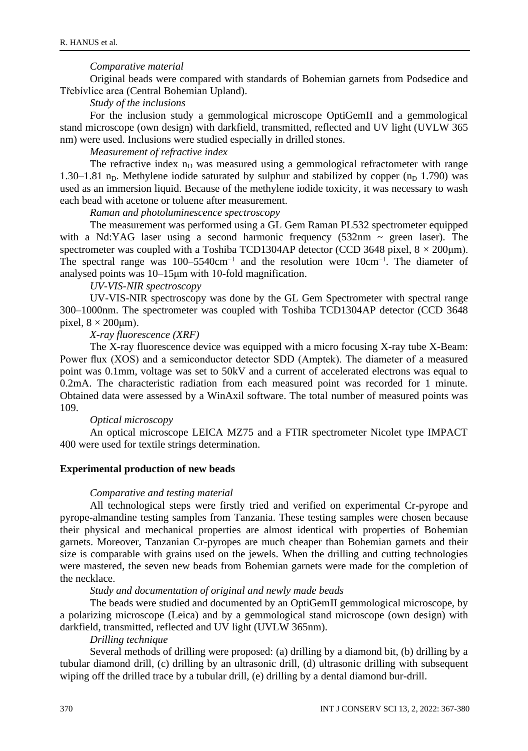### *Comparative material*

Original beads were compared with standards of Bohemian garnets from Podsedice and Třebívlice area (Central Bohemian Upland).

*Study of the inclusions*

For the inclusion study a gemmological microscope OptiGemII and a gemmological stand microscope (own design) with darkfield, transmitted, reflected and UV light (UVLW 365 nm) were used. Inclusions were studied especially in drilled stones.

*Measurement of refractive index*

The refractive index  $n<sub>D</sub>$  was measured using a gemmological refractometer with range 1.30–1.81 n<sub>D</sub>. Methylene iodide saturated by sulphur and stabilized by copper  $(n_D 1.790)$  was used as an immersion liquid. Because of the methylene iodide toxicity, it was necessary to wash each bead with acetone or toluene after measurement.

*Raman and photoluminescence spectroscopy*

The measurement was performed using a GL Gem Raman PL532 spectrometer equipped with a Nd:YAG laser using a second harmonic frequency  $(532nm \sim green$  laser). The spectrometer was coupled with a Toshiba TCD1304AP detector (CCD 3648 pixel,  $8 \times 200 \mu m$ ). The spectral range was 100–5540cm−1 and the resolution were 10cm−1. The diameter of analysed points was 10–15μm with 10-fold magnification.

*UV-VIS-NIR spectroscopy*

UV-VIS-NIR spectroscopy was done by the GL Gem Spectrometer with spectral range 300–1000nm. The spectrometer was coupled with Toshiba TCD1304AP detector (CCD 3648 pixel,  $8 \times 200 \mu m$ ).

*X-ray fluorescence (XRF)*

The X-ray fluorescence device was equipped with a micro focusing X-ray tube X-Beam: Power flux (XOS) and a semiconductor detector SDD (Amptek). The diameter of a measured point was 0.1mm, voltage was set to 50kV and a current of accelerated electrons was equal to 0.2mA. The characteristic radiation from each measured point was recorded for 1 minute. Obtained data were assessed by a WinAxil software. The total number of measured points was 109.

### *Optical microscopy*

An optical microscope LEICA MZ75 and a FTIR spectrometer Nicolet type IMPACT 400 were used for textile strings determination.

### **Experimental production of new beads**

#### *Comparative and testing material*

All technological steps were firstly tried and verified on experimental Cr-pyrope and pyrope-almandine testing samples from Tanzania. These testing samples were chosen because their physical and mechanical properties are almost identical with properties of Bohemian garnets. Moreover, Tanzanian Cr-pyropes are much cheaper than Bohemian garnets and their size is comparable with grains used on the jewels. When the drilling and cutting technologies were mastered, the seven new beads from Bohemian garnets were made for the completion of the necklace.

*Study and documentation of original and newly made beads*

The beads were studied and documented by an OptiGemII gemmological microscope, by a polarizing microscope (Leica) and by a gemmological stand microscope (own design) with darkfield, transmitted, reflected and UV light (UVLW 365nm).

## *Drilling technique*

Several methods of drilling were proposed: (a) drilling by a diamond bit, (b) drilling by a tubular diamond drill, (c) drilling by an ultrasonic drill, (d) ultrasonic drilling with subsequent wiping off the drilled trace by a tubular drill, (e) drilling by a dental diamond bur-drill.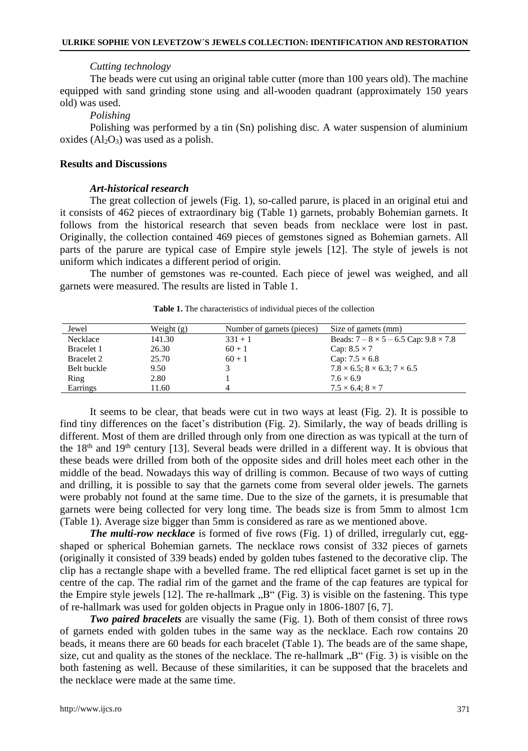#### *Cutting technology*

The beads were cut using an original table cutter (more than 100 years old). The machine equipped with sand grinding stone using and all-wooden quadrant (approximately 150 years old) was used.

*Polishing*

Polishing was performed by a tin (Sn) polishing disc. A water suspension of aluminium oxides  $(Al_2O_3)$  was used as a polish.

### **Results and Discussions**

#### *Art-historical research*

The great collection of jewels (Fig. 1), so-called parure, is placed in an original etui and it consists of 462 pieces of extraordinary big (Table 1) garnets, probably Bohemian garnets. It follows from the historical research that seven beads from necklace were lost in past. Originally, the collection contained 469 pieces of gemstones signed as Bohemian garnets. All parts of the parure are typical case of Empire style jewels [12]. The style of jewels is not uniform which indicates a different period of origin.

The number of gemstones was re-counted. Each piece of jewel was weighed, and all garnets were measured. The results are listed in Table 1.

| Jewel             | Weight $(g)$ | Number of garnets (pieces) | Size of garnets (mm)                                |
|-------------------|--------------|----------------------------|-----------------------------------------------------|
| Necklace          | 141.30       | $331 + 1$                  | Beads: $7 - 8 \times 5 - 6.5$ Cap: $9.8 \times 7.8$ |
| Bracelet 1        | 26.30        | $60 + 1$                   | Cap: $8.5 \times 7$                                 |
| <b>Bracelet 2</b> | 25.70        | $60 + 1$                   | Cap: $7.5 \times 6.8$                               |
| Belt buckle       | 9.50         |                            | $7.8 \times 6.5$ ; $8 \times 6.3$ ; $7 \times 6.5$  |
| Ring              | 2.80         |                            | $7.6 \times 6.9$                                    |
| Earrings          | 11.60        | $\Delta$                   | $7.5 \times 6.4$ : $8 \times 7$                     |

**Table 1.** The characteristics of individual pieces of the collection

It seems to be clear, that beads were cut in two ways at least (Fig. 2). It is possible to find tiny differences on the facet's distribution (Fig. 2). Similarly, the way of beads drilling is different. Most of them are drilled through only from one direction as was typicall at the turn of the  $18<sup>th</sup>$  and  $19<sup>th</sup>$  century [13]. Several beads were drilled in a different way. It is obvious that these beads were drilled from both of the opposite sides and drill holes meet each other in the middle of the bead. Nowadays this way of drilling is common. Because of two ways of cutting and drilling, it is possible to say that the garnets come from several older jewels. The garnets were probably not found at the same time. Due to the size of the garnets, it is presumable that garnets were being collected for very long time. The beads size is from 5mm to almost 1cm (Table 1). Average size bigger than 5mm is considered as rare as we mentioned above.

*The multi-row necklace* is formed of five rows (Fig. 1) of drilled, irregularly cut, eggshaped or spherical Bohemian garnets. The necklace rows consist of 332 pieces of garnets (originally it consisted of 339 beads) ended by golden tubes fastened to the decorative clip. The clip has a rectangle shape with a bevelled frame. The red elliptical facet garnet is set up in the centre of the cap. The radial rim of the garnet and the frame of the cap features are typical for the Empire style jewels [12]. The re-hallmark  $,B^{\prime\prime}$  (Fig. 3) is visible on the fastening. This type of re-hallmark was used for golden objects in Prague only in 1806-1807 [6, 7].

*Two paired bracelets* are visually the same (Fig. 1). Both of them consist of three rows of garnets ended with golden tubes in the same way as the necklace. Each row contains 20 beads, it means there are 60 beads for each bracelet (Table 1). The beads are of the same shape, size, cut and quality as the stones of the necklace. The re-hallmark  $\mathbb{R}^n$  (Fig. 3) is visible on the both fastening as well. Because of these similarities, it can be supposed that the bracelets and the necklace were made at the same time.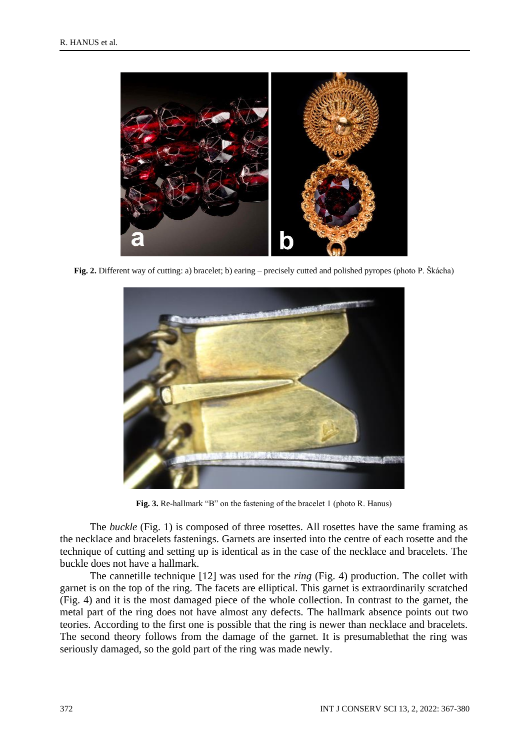

**Fig. 2.** Different way of cutting: a) bracelet; b) earing – precisely cutted and polished pyropes (photo P. Škácha)



**Fig. 3.** Re-hallmark "B" on the fastening of the bracelet 1 (photo R. Hanus)

The *buckle* (Fig. 1) is composed of three rosettes. All rosettes have the same framing as the necklace and bracelets fastenings. Garnets are inserted into the centre of each rosette and the technique of cutting and setting up is identical as in the case of the necklace and bracelets. The buckle does not have a hallmark.

The cannetille technique [12] was used for the *ring* (Fig. 4) production. The collet with garnet is on the top of the ring. The facets are elliptical. This garnet is extraordinarily scratched (Fig. 4) and it is the most damaged piece of the whole collection. In contrast to the garnet, the metal part of the ring does not have almost any defects. The hallmark absence points out two teories. According to the first one is possible that the ring is newer than necklace and bracelets. The second theory follows from the damage of the garnet. It is presumablethat the ring was seriously damaged, so the gold part of the ring was made newly.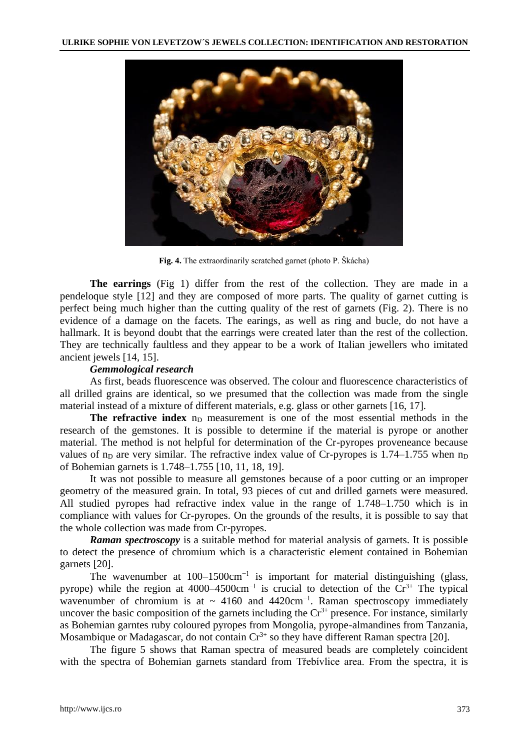

**Fig. 4.** The extraordinarily scratched garnet (photo P. Škácha)

**The earrings** (Fig 1) differ from the rest of the collection. They are made in a pendeloque style [12] and they are composed of more parts. The quality of garnet cutting is perfect being much higher than the cutting quality of the rest of garnets (Fig. 2). There is no evidence of a damage on the facets. The earings, as well as ring and bucle, do not have a hallmark. It is beyond doubt that the earrings were created later than the rest of the collection. They are technically faultless and they appear to be a work of Italian jewellers who imitated ancient jewels [14, 15].

### *Gemmological research*

As first, beads fluorescence was observed. The colour and fluorescence characteristics of all drilled grains are identical, so we presumed that the collection was made from the single material instead of a mixture of different materials, e.g. glass or other garnets [16, 17].

**The refractive index** n<sub>D</sub> measurement is one of the most essential methods in the research of the gemstones. It is possible to determine if the material is pyrope or another material. The method is not helpful for determination of the Cr-pyropes proveneance because values of  $n_D$  are very similar. The refractive index value of Cr-pyropes is 1.74–1.755 when  $n_D$ of Bohemian garnets is 1.748–1.755 [10, 11, 18, 19].

It was not possible to measure all gemstones because of a poor cutting or an improper geometry of the measured grain. In total, 93 pieces of cut and drilled garnets were measured. All studied pyropes had refractive index value in the range of 1.748–1.750 which is in compliance with values for Cr-pyropes. On the grounds of the results, it is possible to say that the whole collection was made from Cr-pyropes.

*Raman spectroscopy* is a suitable method for material analysis of garnets. It is possible to detect the presence of chromium which is a characteristic element contained in Bohemian garnets [20].

The wavenumber at 100–1500cm<sup>-1</sup> is important for material distinguishing (glass, pyrope) while the region at 4000–4500cm<sup>-1</sup> is crucial to detection of the  $Cr^{3+}$  The typical wavenumber of chromium is at  $\sim 4160$  and  $4420 \text{cm}^{-1}$ . Raman spectroscopy immediately uncover the basic composition of the garnets including the  $Cr<sup>3+</sup>$  presence. For instance, similarly as Bohemian garntes ruby coloured pyropes from Mongolia, pyrope-almandines from Tanzania, Mosambique or Madagascar, do not contain  $Cr^{3+}$  so they have different Raman spectra [20].

The figure 5 shows that Raman spectra of measured beads are completely coincident with the spectra of Bohemian garnets standard from Třebívlice area. From the spectra, it is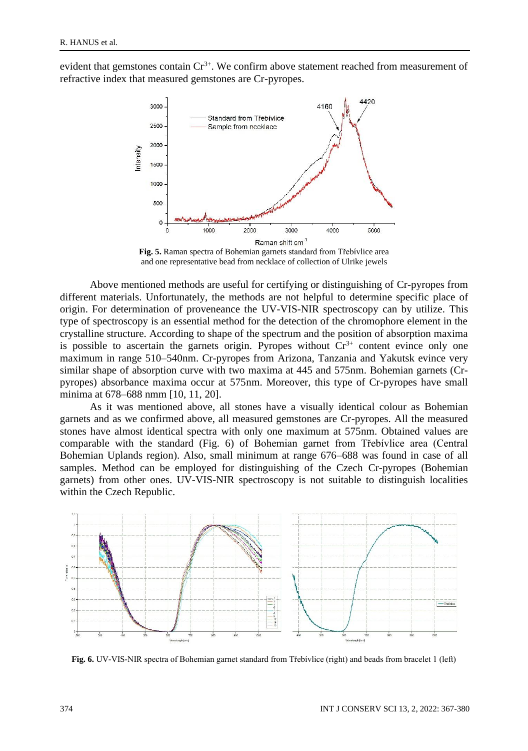evident that gemstones contain  $Cr^{3+}$ . We confirm above statement reached from measurement of refractive index that measured gemstones are Cr-pyropes.



**Fig. 5.** Raman spectra of Bohemian garnets standard from Třebívlice area and one representative bead from necklace of collection of Ulrike jewels

Above mentioned methods are useful for certifying or distinguishing of Cr-pyropes from different materials. Unfortunately, the methods are not helpful to determine specific place of origin. For determination of proveneance the UV-VIS-NIR spectroscopy can by utilize. This type of spectroscopy is an essential method for the detection of the chromophore element in the crystalline structure. According to shape of the spectrum and the position of absorption maxima is possible to ascertain the garnets origin. Pyropes without  $Cr<sup>3+</sup>$  content evince only one maximum in range 510–540nm. Cr-pyropes from Arizona, Tanzania and Yakutsk evince very similar shape of absorption curve with two maxima at 445 and 575nm. Bohemian garnets (Crpyropes) absorbance maxima occur at 575nm. Moreover, this type of Cr-pyropes have small minima at 678–688 nmm [10, 11, 20].

As it was mentioned above, all stones have a visually identical colour as Bohemian garnets and as we confirmed above, all measured gemstones are Cr-pyropes. All the measured stones have almost identical spectra with only one maximum at 575nm. Obtained values are comparable with the standard (Fig. 6) of Bohemian garnet from Třebívlice area (Central Bohemian Uplands region). Also, small minimum at range 676–688 was found in case of all samples. Method can be employed for distinguishing of the Czech Cr-pyropes (Bohemian garnets) from other ones. UV-VIS-NIR spectroscopy is not suitable to distinguish localities within the Czech Republic.



**Fig. 6.** UV-VIS-NIR spectra of Bohemian garnet standard from Třebívlice (right) and beads from bracelet 1 (left)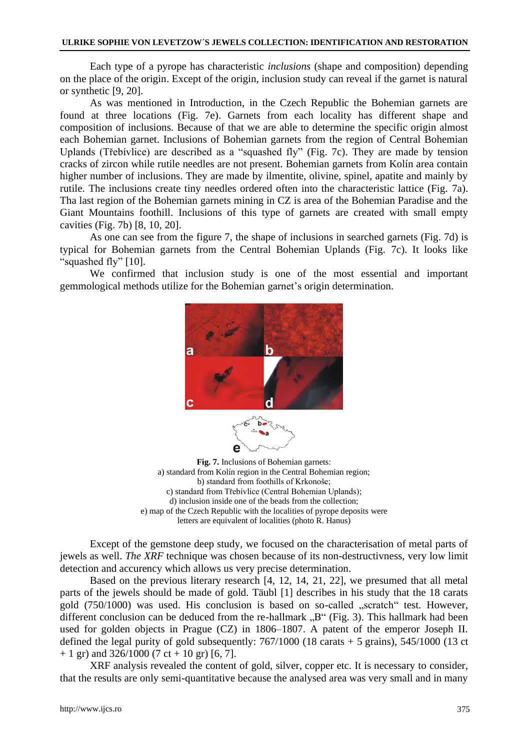#### **ULRIKE SOPHIE VON LEVETZOW´S JEWELS COLLECTION: IDENTIFICATION AND RESTORATION**

Each type of a pyrope has characteristic *inclusions* (shape and composition) depending on the place of the origin. Except of the origin, inclusion study can reveal if the garnet is natural or synthetic [9, 20].

As was mentioned in Introduction, in the Czech Republic the Bohemian garnets are found at three locations (Fig. 7e). Garnets from each locality has different shape and composition of inclusions. Because of that we are able to determine the specific origin almost each Bohemian garnet. Inclusions of Bohemian garnets from the region of Central Bohemian Uplands (Třebívlice) are described as a "squashed fly" (Fig. 7c). They are made by tension cracks of zircon while rutile needles are not present. Bohemian garnets from Kolín area contain higher number of inclusions. They are made by ilmentite, olivine, spinel, apatite and mainly by rutile. The inclusions create tiny needles ordered often into the characteristic lattice (Fig. 7a). Tha last region of the Bohemian garnets mining in CZ is area of the Bohemian Paradise and the Giant Mountains foothill. Inclusions of this type of garnets are created with small empty cavities (Fig. 7b) [8, 10, 20].

As one can see from the figure 7, the shape of inclusions in searched garnets (Fig. 7d) is typical for Bohemian garnets from the Central Bohemian Uplands (Fig. 7c). It looks like "squashed fly" [10].

We confirmed that inclusion study is one of the most essential and important gemmological methods utilize for the Bohemian garnet's origin determination.



**Fig. 7.** Inclusions of Bohemian garnets: a) standard from Kolín region in the Central Bohemian region; b) standard from foothills of Krkonoše; c) standard from Třebívlice (Central Bohemian Uplands); d) inclusion inside one of the beads from the collection; e) map of the Czech Republic with the localities of pyrope deposits were letters are equivalent of localities (photo R. Hanus)

Except of the gemstone deep study, we focused on the characterisation of metal parts of jewels as well. *The XRF* technique was chosen because of its non-destructivness, very low limit detection and accurency which allows us very precise determination.

Based on the previous literary research [4, 12, 14, 21, 22], we presumed that all metal parts of the jewels should be made of gold. Täubl [1] describes in his study that the 18 carats gold  $(750/1000)$  was used. His conclusion is based on so-called  $n$ , scratch "test. However, different conclusion can be deduced from the re-hallmark  $B<sup>th</sup>$  (Fig. 3). This hallmark had been used for golden objects in Prague (CZ) in 1806–1807. A patent of the emperor Joseph II. defined the legal purity of gold subsequently: 767/1000 (18 carats + 5 grains), 545/1000 (13 ct  $+ 1$  gr) and 326/1000 (7 ct + 10 gr) [6, 7].

XRF analysis revealed the content of gold, silver, copper etc. It is necessary to consider, that the results are only semi-quantitative because the analysed area was very small and in many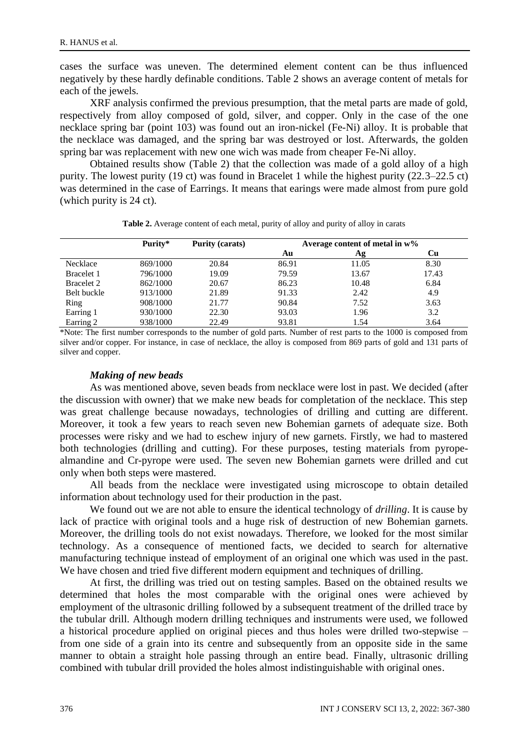cases the surface was uneven. The determined element content can be thus influenced negatively by these hardly definable conditions. Table 2 shows an average content of metals for each of the jewels.

XRF analysis confirmed the previous presumption, that the metal parts are made of gold, respectively from alloy composed of gold, silver, and copper. Only in the case of the one necklace spring bar (point 103) was found out an iron-nickel (Fe-Ni) alloy. It is probable that the necklace was damaged, and the spring bar was destroyed or lost. Afterwards, the golden spring bar was replacement with new one wich was made from cheaper Fe-Ni alloy.

Obtained results show (Table 2) that the collection was made of a gold alloy of a high purity. The lowest purity (19 ct) was found in Bracelet 1 while the highest purity (22.3–22.5 ct) was determined in the case of Earrings. It means that earings were made almost from pure gold (which purity is 24 ct).

|                   | Purity*  | <b>Purity (carats)</b> | Average content of metal in $w\%$ |       |       |
|-------------------|----------|------------------------|-----------------------------------|-------|-------|
|                   |          |                        | Au                                | Ag    | Сu    |
| Necklace          | 869/1000 | 20.84                  | 86.91                             | 11.05 | 8.30  |
| Bracelet 1        | 796/1000 | 19.09                  | 79.59                             | 13.67 | 17.43 |
| <b>Bracelet 2</b> | 862/1000 | 20.67                  | 86.23                             | 10.48 | 6.84  |
| Belt buckle       | 913/1000 | 21.89                  | 91.33                             | 2.42  | 4.9   |
| Ring              | 908/1000 | 21.77                  | 90.84                             | 7.52  | 3.63  |
| Earring 1         | 930/1000 | 22.30                  | 93.03                             | 1.96  | 3.2   |
| Earring 2         | 938/1000 | 22.49                  | 93.81                             | 1.54  | 3.64  |

**Table 2.** Average content of each metal, purity of alloy and purity of alloy in carats

\*Note: The first number corresponds to the number of gold parts. Number of rest parts to the 1000 is composed from silver and/or copper. For instance, in case of necklace, the alloy is composed from 869 parts of gold and 131 parts of silver and copper.

#### *Making of new beads*

As was mentioned above, seven beads from necklace were lost in past. We decided (after the discussion with owner) that we make new beads for completation of the necklace. This step was great challenge because nowadays, technologies of drilling and cutting are different. Moreover, it took a few years to reach seven new Bohemian garnets of adequate size. Both processes were risky and we had to eschew injury of new garnets. Firstly, we had to mastered both technologies (drilling and cutting). For these purposes, testing materials from pyropealmandine and Cr-pyrope were used. The seven new Bohemian garnets were drilled and cut only when both steps were mastered.

All beads from the necklace were investigated using microscope to obtain detailed information about technology used for their production in the past.

We found out we are not able to ensure the identical technology of *drilling*. It is cause by lack of practice with original tools and a huge risk of destruction of new Bohemian garnets. Moreover, the drilling tools do not exist nowadays. Therefore, we looked for the most similar technology. As a consequence of mentioned facts, we decided to search for alternative manufacturing technique instead of employment of an original one which was used in the past. We have chosen and tried five different modern equipment and techniques of drilling.

At first, the drilling was tried out on testing samples. Based on the obtained results we determined that holes the most comparable with the original ones were achieved by employment of the ultrasonic drilling followed by a subsequent treatment of the drilled trace by the tubular drill. Although modern drilling techniques and instruments were used, we followed a historical procedure applied on original pieces and thus holes were drilled two-stepwise – from one side of a grain into its centre and subsequently from an opposite side in the same manner to obtain a straight hole passing through an entire bead. Finally, ultrasonic drilling combined with tubular drill provided the holes almost indistinguishable with original ones.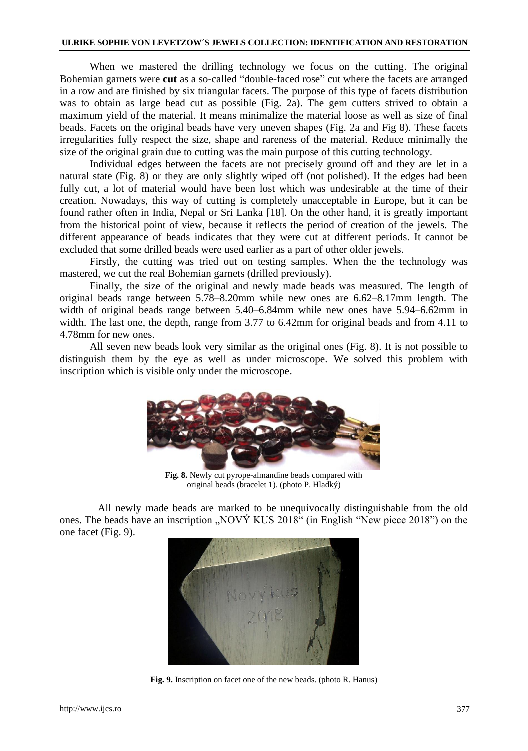When we mastered the drilling technology we focus on the cutting. The original Bohemian garnets were **cut** as a so-called "double-faced rose" cut where the facets are arranged in a row and are finished by six triangular facets. The purpose of this type of facets distribution was to obtain as large bead cut as possible (Fig. 2a). The gem cutters strived to obtain a maximum yield of the material. It means minimalize the material loose as well as size of final beads. Facets on the original beads have very uneven shapes (Fig. 2a and Fig 8). These facets irregularities fully respect the size, shape and rareness of the material. Reduce minimally the size of the original grain due to cutting was the main purpose of this cutting technology.

Individual edges between the facets are not precisely ground off and they are let in a natural state (Fig. 8) or they are only slightly wiped off (not polished). If the edges had been fully cut, a lot of material would have been lost which was undesirable at the time of their creation. Nowadays, this way of cutting is completely unacceptable in Europe, but it can be found rather often in India, Nepal or Sri Lanka [18]. On the other hand, it is greatly important from the historical point of view, because it reflects the period of creation of the jewels. The different appearance of beads indicates that they were cut at different periods. It cannot be excluded that some drilled beads were used earlier as a part of other older jewels.

Firstly, the cutting was tried out on testing samples. When the the technology was mastered, we cut the real Bohemian garnets (drilled previously).

Finally, the size of the original and newly made beads was measured. The length of original beads range between 5.78–8.20mm while new ones are 6.62–8.17mm length. The width of original beads range between 5.40–6.84mm while new ones have 5.94–6.62mm in width. The last one, the depth, range from 3.77 to 6.42mm for original beads and from 4.11 to 4.78mm for new ones.

All seven new beads look very similar as the original ones (Fig. 8). It is not possible to distinguish them by the eye as well as under microscope. We solved this problem with inscription which is visible only under the microscope.



**Fig. 8.** Newly cut pyrope-almandine beads compared with original beads (bracelet 1). (photo P. Hladký)

All newly made beads are marked to be unequivocally distinguishable from the old ones. The beads have an inscription  $\mu$ NOVÝ KUS 2018" (in English "New piece 2018") on the one facet (Fig. 9).



**Fig. 9.** Inscription on facet one of the new beads. (photo R. Hanus)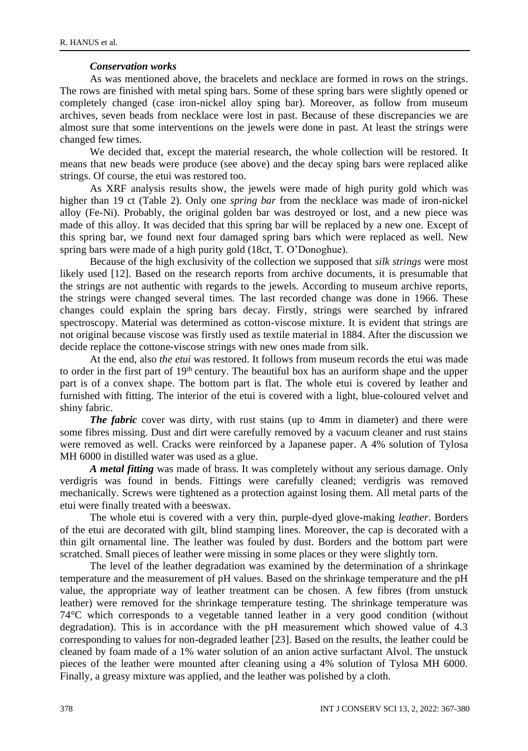### *Conservation works*

As was mentioned above, the bracelets and necklace are formed in rows on the strings. The rows are finished with metal sping bars. Some of these spring bars were slightly opened or completely changed (case iron-nickel alloy sping bar). Moreover, as follow from museum archives, seven beads from necklace were lost in past. Because of these discrepancies we are almost sure that some interventions on the jewels were done in past. At least the strings were changed few times.

We decided that, except the material research, the whole collection will be restored. It means that new beads were produce (see above) and the decay sping bars were replaced alike strings. Of course, the etui was restored too.

As XRF analysis results show, the jewels were made of high purity gold which was higher than 19 ct (Table 2). Only one *spring bar* from the necklace was made of iron-nickel alloy (Fe-Ni). Probably, the original golden bar was destroyed or lost, and a new piece was made of this alloy. It was decided that this spring bar will be replaced by a new one. Except of this spring bar, we found next four damaged spring bars which were replaced as well. New spring bars were made of a high purity gold (18ct, T. O'Donoghue).

Because of the high exclusivity of the collection we supposed that *silk strings* were most likely used [12]. Based on the research reports from archive documents, it is presumable that the strings are not authentic with regards to the jewels. According to museum archive reports, the strings were changed several times. The last recorded change was done in 1966. These changes could explain the spring bars decay. Firstly, strings were searched by infrared spectroscopy. Material was determined as cotton-viscose mixture. It is evident that strings are not original because viscose was firstly used as textile material in 1884. After the discussion we decide replace the cottone-viscose strings with new ones made from silk.

At the end, also *the etui* was restored. It follows from museum records the etui was made to order in the first part of 19<sup>th</sup> century. The beautiful box has an auriform shape and the upper part is of a convex shape. The bottom part is flat. The whole etui is covered by leather and furnished with fitting. The interior of the etui is covered with a light, blue-coloured velvet and shiny fabric.

*The fabric* cover was dirty, with rust stains (up to 4mm in diameter) and there were some fibres missing. Dust and dirt were carefully removed by a vacuum cleaner and rust stains were removed as well. Cracks were reinforced by a Japanese paper. A 4% solution of Tylosa MH 6000 in distilled water was used as a glue.

*A metal fitting* was made of brass. It was completely without any serious damage. Only verdigris was found in bends. Fittings were carefully cleaned; verdigris was removed mechanically. Screws were tightened as a protection against losing them. All metal parts of the etui were finally treated with a beeswax.

The whole etui is covered with a very thin, purple-dyed glove-making *leather*. Borders of the etui are decorated with gilt, blind stamping lines. Moreover, the cap is decorated with a thin gilt ornamental line. The leather was fouled by dust. Borders and the bottom part were scratched. Small pieces of leather were missing in some places or they were slightly torn.

The level of the leather degradation was examined by the determination of a shrinkage temperature and the measurement of pH values. Based on the shrinkage temperature and the pH value, the appropriate way of leather treatment can be chosen. A few fibres (from unstuck leather) were removed for the shrinkage temperature testing. The shrinkage temperature was 74°C which corresponds to a vegetable tanned leather in a very good condition (without degradation). This is in accordance with the pH measurement which showed value of 4.3 corresponding to values for non-degraded leather [23]. Based on the results, the leather could be cleaned by foam made of a 1% water solution of an anion active surfactant Alvol. The unstuck pieces of the leather were mounted after cleaning using a 4% solution of Tylosa MH 6000. Finally, a greasy mixture was applied, and the leather was polished by a cloth.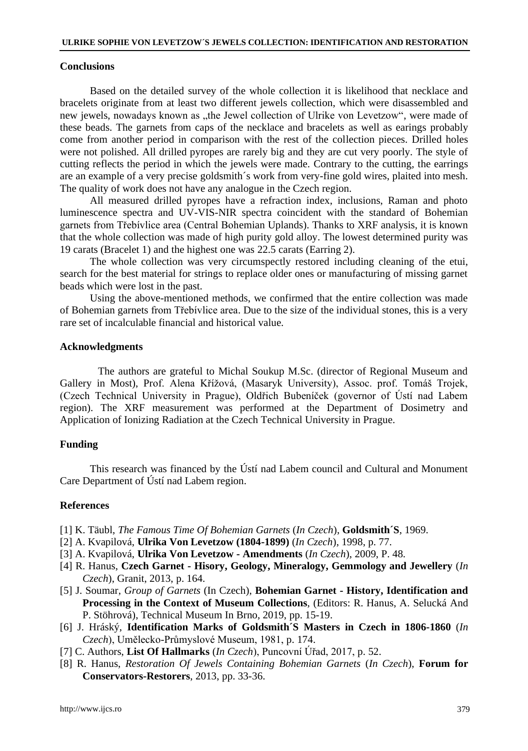### **Conclusions**

Based on the detailed survey of the whole collection it is likelihood that necklace and bracelets originate from at least two different jewels collection, which were disassembled and new jewels, nowadays known as "the Jewel collection of Ulrike von Levetzow", were made of these beads. The garnets from caps of the necklace and bracelets as well as earings probably come from another period in comparison with the rest of the collection pieces. Drilled holes were not polished. All drilled pyropes are rarely big and they are cut very poorly. The style of cutting reflects the period in which the jewels were made. Contrary to the cutting, the earrings are an example of a very precise goldsmith´s work from very-fine gold wires, plaited into mesh. The quality of work does not have any analogue in the Czech region.

All measured drilled pyropes have a refraction index, inclusions, Raman and photo luminescence spectra and UV-VIS-NIR spectra coincident with the standard of Bohemian garnets from Třebívlice area (Central Bohemian Uplands). Thanks to XRF analysis, it is known that the whole collection was made of high purity gold alloy. The lowest determined purity was 19 carats (Bracelet 1) and the highest one was 22.5 carats (Earring 2).

The whole collection was very circumspectly restored including cleaning of the etui, search for the best material for strings to replace older ones or manufacturing of missing garnet beads which were lost in the past.

Using the above-mentioned methods, we confirmed that the entire collection was made of Bohemian garnets from Třebívlice area. Due to the size of the individual stones, this is a very rare set of incalculable financial and historical value.

### **Acknowledgments**

The authors are grateful to Michal Soukup M.Sc. (director of Regional Museum and Gallery in Most), Prof. Alena Křížová, (Masaryk University), Assoc. prof. Tomáš Trojek, (Czech Technical University in Prague), Oldřich Bubeníček (governor of Ústí nad Labem region). The XRF measurement was performed at the Department of Dosimetry and Application of Ionizing Radiation at the Czech Technical University in Prague.

### **Funding**

This research was financed by the Ústí nad Labem council and Cultural and Monument Care Department of Ústí nad Labem region.

### **References**

- [1] K. Täubl, *The Famous Time Of Bohemian Garnets* (*In Czech*), **Goldsmith´S**, 1969.
- [2] A. Kvapilová, **Ulrika Von Levetzow (1804-1899)** (*In Czech*), 1998, p. 77.
- [3] A. Kvapilová, **Ulrika Von Levetzow - Amendments** (*In Czech*), 2009, P. 48.
- [4] R. Hanus, **Czech Garnet - Hisory, Geology, Mineralogy, Gemmology and Jewellery** (*In Czech*), Granit, 2013, p. 164.
- [5] J. Soumar, *Group of Garnets* (In Czech), **Bohemian Garnet - History, Identification and Processing in the Context of Museum Collections**, (Editors: R. Hanus, A. Selucká And P. Stöhrová), Technical Museum In Brno, 2019, pp. 15-19.
- [6] J. Hráský, **Identification Marks of Goldsmith´S Masters in Czech in 1806-1860** (*In Czech*), Umělecko-Průmyslové Museum, 1981, p. 174.
- [7] C. Authors, **List Of Hallmarks** (*In Czech*), Puncovní Úřad, 2017, p. 52.
- [8] R. Hanus, *Restoration Of Jewels Containing Bohemian Garnets* (*In Czech*), **Forum for Conservators-Restorers**, 2013, pp. 33-36.